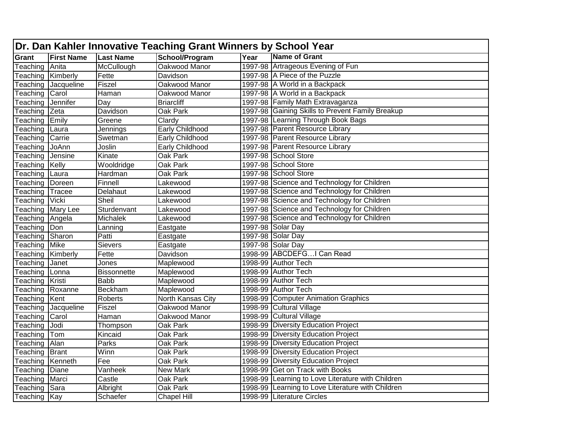|                        | Dr. Dan Kahler Innovative Teaching Grant Winners by School Year |                    |                        |      |                                                   |  |  |  |
|------------------------|-----------------------------------------------------------------|--------------------|------------------------|------|---------------------------------------------------|--|--|--|
| Grant                  | <b>First Name</b>                                               | <b>Last Name</b>   | School/Program         | Year | Name of Grant                                     |  |  |  |
| Teaching               | Anita                                                           | McCullough         | Oakwood Manor          |      | 1997-98 Artrageous Evening of Fun                 |  |  |  |
| Teaching Kimberly      |                                                                 | Fette              | Davidson               |      | 1997-98 A Piece of the Puzzle                     |  |  |  |
|                        | Teaching Jacqueline                                             | <b>Fiszel</b>      | Oakwood Manor          |      | 1997-98 A World in a Backpack                     |  |  |  |
| Teaching               | Carol                                                           | Haman              | Oakwood Manor          |      | 1997-98 A World in a Backpack                     |  |  |  |
| Teaching Jennifer      |                                                                 | Day                | <b>Briarcliff</b>      |      | 1997-98 Family Math Extravaganza                  |  |  |  |
| Teaching Zeta          |                                                                 | Davidson           | Oak Park               |      | 1997-98 Gaining Skills to Prevent Family Breakup  |  |  |  |
| Teaching               | Emily                                                           | Greene             | Clardy                 |      | 1997-98 Learning Through Book Bags                |  |  |  |
| Teaching               | Laura                                                           | Jennings           | <b>Early Childhood</b> |      | 1997-98 Parent Resource Library                   |  |  |  |
| <b>Feaching Carrie</b> |                                                                 | Swetman            | Early Childhood        |      | 1997-98 Parent Resource Library                   |  |  |  |
| eaching JoAnn          |                                                                 | Joslin             | Early Childhood        |      | 1997-98 Parent Resource Library                   |  |  |  |
| Teaching Jensine       |                                                                 | Kinate             | Oak Park               |      | 1997-98 School Store                              |  |  |  |
| <b>Teaching Kelly</b>  |                                                                 | Wooldridge         | <b>Oak Park</b>        |      | 1997-98 School Store                              |  |  |  |
| Teaching               | Laura                                                           | Hardman            | Oak Park               |      | 1997-98 School Store                              |  |  |  |
| Teaching               | Doreen                                                          | Finnell            | Lakewood               |      | 1997-98 Science and Technology for Children       |  |  |  |
| Teaching               | <b>Tracee</b>                                                   | Delahaut           | Lakewood               |      | 1997-98 Science and Technology for Children       |  |  |  |
| Teaching Vicki         |                                                                 | Sheil              | Lakewood               |      | 1997-98 Science and Technology for Children       |  |  |  |
|                        | <b>Teaching Mary Lee</b>                                        | Sturdenvant        | Lakewood               |      | 1997-98 Science and Technology for Children       |  |  |  |
| Teaching Angela        |                                                                 | Michalek           | Lakewood               |      | 1997-98 Science and Technology for Children       |  |  |  |
| Teaching Don           |                                                                 | Lanning            | Eastgate               |      | 1997-98 Solar Day                                 |  |  |  |
| Teaching               | Sharon                                                          | Patti              | Eastgate               |      | 1997-98 Solar Day                                 |  |  |  |
| Teaching Mike          |                                                                 | <b>Sievers</b>     | Eastgate               |      | 1997-98 Solar Day                                 |  |  |  |
|                        | Feaching Kimberly                                               | Fette              | Davidson               |      | 1998-99 ABCDEFGI Can Read                         |  |  |  |
| eaching <sup>-</sup>   | Janet                                                           | Jones              | Maplewood              |      | 1998-99 Author Tech                               |  |  |  |
| Teaching Lonna         |                                                                 | <b>Bissonnette</b> | Maplewood              |      | 1998-99 Author Tech                               |  |  |  |
| Teaching Kristi        |                                                                 | <b>Babb</b>        | Maplewood              |      | 1998-99 Author Tech                               |  |  |  |
| Teaching Roxanne       |                                                                 | <b>Beckham</b>     | Maplewood              |      | 1998-99 Author Tech                               |  |  |  |
| Teaching               | Kent                                                            | Roberts            | North Kansas City      |      | 1998-99 Computer Animation Graphics               |  |  |  |
| Teaching               | Jacqueline                                                      | Fiszel             | Oakwood Manor          |      | 1998-99 Cultural Village                          |  |  |  |
| Teaching Carol         |                                                                 | Haman              | Oakwood Manor          |      | 1998-99 Cultural Village                          |  |  |  |
| Teaching               | Jodi                                                            | Thompson           | Oak Park               |      | 1998-99 Diversity Education Project               |  |  |  |
| Teaching               | <b>Tom</b>                                                      | Kincaid            | Oak Park               |      | 1998-99 Diversity Education Project               |  |  |  |
| Teaching               | Alan                                                            | Parks              | Oak Park               |      | 1998-99 Diversity Education Project               |  |  |  |
| Teaching               | Brant                                                           | Winn               | Oak Park               |      | 1998-99 Diversity Education Project               |  |  |  |
| Teaching Kenneth       |                                                                 | Fee                | Oak Park               |      | 1998-99 Diversity Education Project               |  |  |  |
| Teaching Diane         |                                                                 | Vanheek            | <b>New Mark</b>        |      | 1998-99 Get on Track with Books                   |  |  |  |
| <b>Teaching</b>        | Marci                                                           | Castle             | Oak Park               |      | 1998-99 Learning to Love Literature with Children |  |  |  |
| Teaching Sara          |                                                                 | Albright           | Oak Park               |      | 1998-99 Learning to Love Literature with Children |  |  |  |
| Teaching Kay           |                                                                 | Schaefer           | <b>Chapel Hill</b>     |      | 1998-99 Literature Circles                        |  |  |  |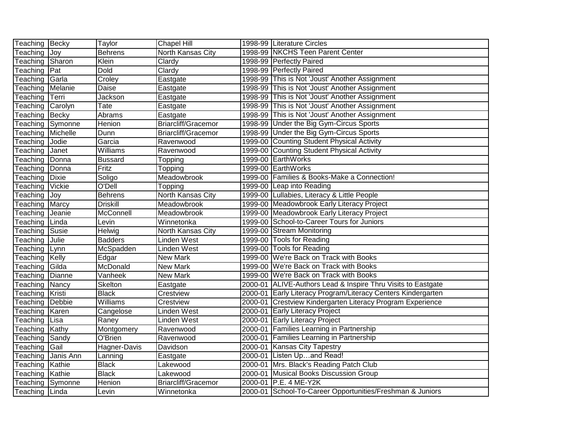| Teaching Becky                  |                    | Taylor          | Chapel Hill                | 1998-99 Literature Circles                                   |
|---------------------------------|--------------------|-----------------|----------------------------|--------------------------------------------------------------|
| Teaching Joy                    |                    | <b>Behrens</b>  | <b>North Kansas City</b>   | 1998-99 NKCHS Teen Parent Center                             |
| Teaching                        | Sharon             | Klein           | Clardy                     | 1998-99 Perfectly Paired                                     |
| Teaching                        | Pat                | <b>Dold</b>     | Clardy                     | 1998-99 Perfectly Paired                                     |
| Teaching Garla                  |                    | Croley          | Eastgate                   | 1998-99 This is Not 'Joust' Another Assignment               |
| Teaching Melanie                |                    | <b>Daise</b>    | Eastgate                   | 1998-99 This is Not 'Joust' Another Assignment               |
| Teaching                        | Terri              | Jackson         | Eastgate                   | 1998-99 This is Not 'Joust' Another Assignment               |
| Teaching                        | Carolyn            | Tate            | Eastgate                   | 1998-99 This is Not 'Joust' Another Assignment               |
| Teaching Becky                  |                    | Abrams          | Eastgate                   | 1998-99 This is Not 'Joust' Another Assignment               |
|                                 | Teaching Symonne   | Henion          | <b>Briarcliff/Gracemor</b> | 1998-99 Under the Big Gym-Circus Sports                      |
| Teaching                        | Michelle           | Dunn            | Briarcliff/Gracemor        | 1998-99 Under the Big Gym-Circus Sports                      |
| Teaching                        | Jodie              | Garcia          | Ravenwood                  | 1999-00 Counting Student Physical Activity                   |
| Teaching                        | Janet              | Williams        | Ravenwood                  | 1999-00 Counting Student Physical Activity                   |
| Teaching                        | Donna              | <b>Bussard</b>  | Topping                    | 1999-00 EarthWorks                                           |
| Teaching                        | Donna              | Fritz           | Topping                    | 1999-00 EarthWorks                                           |
| Teaching                        | Dixie              | Soligo          | Meadowbrook                | 1999-00   Families & Books-Make a Connection!                |
| Teaching                        | Vickie             | O'Dell          | Topping                    | 1999-00 Leap into Reading                                    |
| Teaching                        | <b>Joy</b>         | Behrens         | North Kansas City          | 1999-00 Lullabies, Literacy & Little People                  |
| Teaching                        | Marcy              | <b>Driskill</b> | Meadowbrook                | 1999-00 Meadowbrook Early Literacy Project                   |
| Teaching                        | Jeanie             | McConnell       | Meadowbrook                | 1999-00 Meadowbrook Early Literacy Project                   |
| Teaching                        | Linda              | Levin           | Winnetonka                 | 1999-00 School-to-Career Tours for Juniors                   |
| Teaching Susie                  |                    | Helwig          | North Kansas City          | 1999-00 Stream Monitoring                                    |
| Teaching                        | <b>Julie</b>       | <b>Badders</b>  | Linden West                | 1999-00 Tools for Reading                                    |
| Teaching                        | Lynn               | McSpadden       | Linden West                | 1999-00 Tools for Reading                                    |
| Teaching Kelly                  |                    | Edgar           | New Mark                   | 1999-00 We're Back on Track with Books                       |
| Teaching                        | Gilda              | McDonald        | New Mark                   | 1999-00 We're Back on Track with Books                       |
| $\overline{\mathsf{T}}$ eaching | Dianne             | Vanheek         | New Mark                   | 1999-00 We're Back on Track with Books                       |
| Teaching                        | <b>Nancy</b>       | Skelton         | Eastgate                   | 2000-01 ALIVE-Authors Lead & Inspire Thru Visits to Eastgate |
| Teaching Kristi                 |                    | <b>Black</b>    | Crestview                  | 2000-01 Early Literacy Program/Literacy Centers Kindergarten |
| Teaching                        | Debbie             | Williams        | Crestview                  | 2000-01 Crestview Kindergarten Literacy Program Experience   |
| Teaching                        | Karen              | Cangelose       | Linden West                | 2000-01 Early Literacy Project                               |
| Teaching                        | Lisa               | Raney           | <b>Linden West</b>         | 2000-01 Early Literacy Project                               |
| Teaching Kathy                  |                    | Montgomery      | Ravenwood                  | 2000-01 Families Learning in Partnership                     |
| Teaching                        | Sandy              | O'Brien         | Ravenwood                  | 2000-01 Families Learning in Partnership                     |
| Teaching                        | Gail               | Hagner-Davis    | Davidson                   | 2000-01 Kansas City Tapestry                                 |
|                                 | Teaching Janis Ann | Lanning         | Eastgate                   | 2000-01 Listen Upand Read!                                   |
| Teaching Kathie                 |                    | <b>Black</b>    | Lakewood                   | 2000-01 Mrs. Black's Reading Patch Club                      |
| Teaching                        | Kathie             | <b>Black</b>    | Lakewood                   | 2000-01 Musical Books Discussion Group                       |
|                                 | Teaching Symonne   | <b>Henion</b>   | <b>Briarcliff/Gracemor</b> | 2000-01 P.E. 4 ME-Y2K                                        |
| Teaching Linda                  |                    | Levin           | Winnetonka                 | 2000-01 School-To-Career Opportunities/Freshman & Juniors    |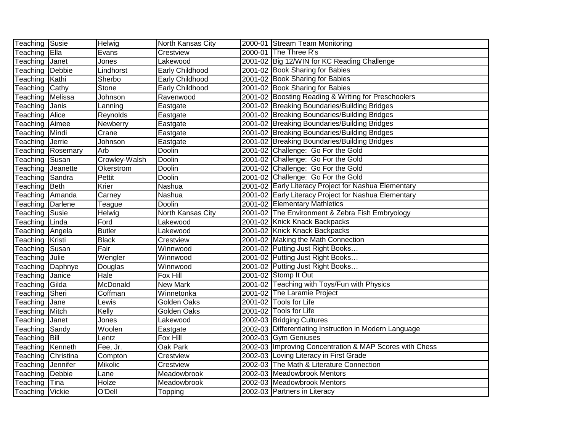| Teaching Susie  |                    | Helwig                | North Kansas City | 2000-01 Stream Team Monitoring                          |
|-----------------|--------------------|-----------------------|-------------------|---------------------------------------------------------|
| Teaching        | Ella               | Evans                 | Crestview         | 2000-01 The Three R's                                   |
| Teaching        | Janet              | Jones                 | Lakewood          | 2001-02 Big 12/WIN for KC Reading Challenge             |
| Teaching        | Debbie             | Lindhorst             | Early Childhood   | 2001-02 Book Sharing for Babies                         |
| Teaching        | Kathi              | Sherbo                | Early Childhood   | 2001-02 Book Sharing for Babies                         |
| Teaching        | Cathy              | Stone                 | Early Childhood   | 2001-02 Book Sharing for Babies                         |
| Teaching        | Melissa            | Johnson               | Ravenwood         | 2001-02 Boosting Reading & Writing for Preschoolers     |
| Teaching        | <b>Janis</b>       | Lanning               | Eastgate          | 2001-02 Breaking Boundaries/Building Bridges            |
| Teaching        | Alice              | Reynolds              | Eastgate          | 2001-02 Breaking Boundaries/Building Bridges            |
| Teaching        | Aimee              | Newberry              | Eastgate          | 2001-02 Breaking Boundaries/Building Bridges            |
| Teaching        | Mindi              | Crane                 | Eastgate          | 2001-02 Breaking Boundaries/Building Bridges            |
| Teaching        | Jerrie             | Johnson               | Eastgate          | 2001-02 Breaking Boundaries/Building Bridges            |
| Teaching        | Rosemary           | Arb                   | Doolin            | 2001-02 Challenge: Go For the Gold                      |
| Teaching        | Susan              | Crowley-Walsh         | Doolin            | 2001-02 Challenge: Go For the Gold                      |
| Teaching        | Jeanette           | Okerstrom             | Doolin            | 2001-02 Challenge: Go For the Gold                      |
| Teaching        | Sandra             | Pettit                | Doolin            | 2001-02 Challenge: Go For the Gold                      |
| Teaching        | Beth               | Krier                 | Nashua            | 2001-02 Early Literacy Project for Nashua Elementary    |
| Teaching        | Amanda             | Carney                | Nashua            | 2001-02 Early Literacy Project for Nashua Elementary    |
| Teaching        | Darlene            | Teague                | Doolin            | 2001-02 Elementary Mathletics                           |
| Teaching        | Susie              | Helwig                | North Kansas City | 2001-02 The Environment & Zebra Fish Embryology         |
| Teaching        | Linda              | Ford                  | Lakewood          | 2001-02 Knick Knack Backpacks                           |
| Teaching        | Angela             | <b>Butler</b>         | Lakewood          | 2001-02 Knick Knack Backpacks                           |
| Teaching        | Kristi             | <b>Black</b>          | Crestview         | 2001-02 Making the Math Connection                      |
| Teaching        | Susan              | Fair                  | Winnwood          | 2001-02 Putting Just Right Books                        |
| Teaching        | Julie              | $\overline{W}$ engler | Winnwood          | 2001-02 Putting Just Right Books                        |
| Teaching        | Daphnye            | Douglas               | Winnwood          | 2001-02 Putting Just Right Books                        |
| Teaching        | Janice             | Hale                  | Fox Hill          | 2001-02 Stomp It Out                                    |
| Teaching        | Gilda              | McDonald              | New Mark          | 2001-02 Teaching with Toys/Fun with Physics             |
| Teaching        | Sheri              | Coffman               | Winnetonka        | 2001-02 The Laramie Project                             |
| Teaching        | <b>Jane</b>        | Lewis                 | Golden Oaks       | 2001-02 Tools for Life                                  |
| Teaching        | Mitch              | Kelly                 | Golden Oaks       | 2001-02 Tools for Life                                  |
| Teaching        | Janet              | Jones                 | Lakewood          | 2002-03 Bridging Cultures                               |
| Teaching        | Sandy              | Woolen                | Eastgate          | 2002-03 Differentiating Instruction in Modern Language  |
| Teaching        | <b>Bill</b>        | Lentz                 | Fox Hill          | 2002-03 Gym Geniuses                                    |
| Teaching        | Kenneth            | Fee, Jr.              | <b>Oak Park</b>   | 2002-03 Improving Concentration & MAP Scores with Chess |
|                 | Teaching Christina | Compton               | Crestview         | 2002-03 Loving Literacy in First Grade                  |
| Teaching        | Jennifer           | Mikolic               | Crestview         | 2002-03 The Math & Literature Connection                |
| Teaching        | Debbie             | Lane                  | Meadowbrook       | 2002-03 Meadowbrook Mentors                             |
| Teaching Tina   |                    | <b>Holze</b>          | Meadowbrook       | 2002-03 Meadowbrook Mentors                             |
| Teaching Vickie |                    | O'Dell                | Topping           | 2002-03 Partners in Literacy                            |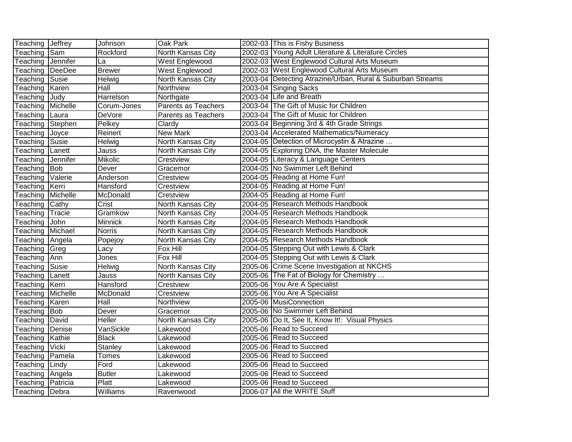| Teaching Jeffrey  |               | Johnson         | Oak Park                   | 2002-03 This is Fishy Business                             |
|-------------------|---------------|-----------------|----------------------------|------------------------------------------------------------|
| Teaching          | Sam           | Rockford        | North Kansas City          | 2002-03 Young Adult Literature & Literature Circles        |
| Teaching          | Jennifer      | La              | West Englewood             | 2002-03 West Englewood Cultural Arts Museum                |
| Teaching          | <b>DeeDee</b> | <b>Brewer</b>   | West Englewood             | 2002-03 West Englewood Cultural Arts Museum                |
| Teaching          | Susie         | <b>Helwig</b>   | North Kansas City          | 2003-04 Detecting Atrazine/Urban, Rural & Suburban Streams |
| Teaching          | Karen         | Hall            | Northview                  | 2003-04 Singing Sacks                                      |
| Teaching          | Judy          | Harrelson       | Northgate                  | 2003-04 Life and Breath                                    |
| Teaching          | Michelle      | Corum-Jones     | <b>Parents as Teachers</b> | 2003-04 The Gift of Music for Children                     |
| Teaching Laura    |               | <b>DeVore</b>   | Parents as Teachers        | 2003-04 The Gift of Music for Children                     |
| Teaching          | Stephen       | Pelkey          | Clardy                     | 2003-04 Beginning 3rd & 4th Grade Strings                  |
| Teaching          | Joyce         | Reinert         | New Mark                   | 2003-04 Accelerated Mathematics/Numeracy                   |
| Teaching          | Susie         | Helwig          | North Kansas City          | 2004-05 Detection of Microcystin & Atrazine                |
| Teaching          | Lanett        | Jauss           | North Kansas City          | 2004-05 Exploring DNA, the Master Molecule                 |
| Teaching          | Jennifer      | <b>Mikolic</b>  | Crestview                  | 2004-05 Literacy & Language Centers                        |
| Teaching          | Bob           | Dever           | Gracemor                   | 2004-05 No Swimmer Left Behind                             |
| Teaching          | Valerie       | Anderson        | Crestview                  | 2004-05 Reading at Home Fun!                               |
| Teaching Kerri    |               | Hansford        | Crestview                  | 2004-05 Reading at Home Fun!                               |
| Teaching          | Michelle      | McDonald        | Crestview                  | 2004-05 Reading at Home Fun!                               |
| Teaching          | Cathy         | Crist           | North Kansas City          | 2004-05 Research Methods Handbook                          |
| Teaching          | Tracie        | Gramkow         | North Kansas City          | 2004-05 Research Methods Handbook                          |
| Teaching          | John          | Minnick         | North Kansas City          | 2004-05 Research Methods Handbook                          |
| Teaching Michael  |               | <b>Norris</b>   | North Kansas City          | 2004-05 Research Methods Handbook                          |
| Teaching   Angela |               | Popejoy         | North Kansas City          | 2004-05 Research Methods Handbook                          |
| Teaching          | <b>Greg</b>   | Lacy            | Fox Hill                   | 2004-05 Stepping Out with Lewis & Clark                    |
| Teaching Ann      |               | Jones           | Fox Hill                   | 2004-05 Stepping Out with Lewis & Clark                    |
| Teaching          | Susie         | Helwig          | <b>North Kansas City</b>   | 2005-06 Crime Scene Investigation at NKCHS                 |
| Teaching          | Lanett        | Jauss           | North Kansas City          | 2005-06 The Fat of Biology for Chemistry                   |
| Teaching          | Kerri         | Hansford        | Crestview                  | 2005-06 You Are A Specialist                               |
| Teaching Michelle |               | McDonald        | Crestview                  | 2005-06 You Are A Specialist                               |
| Teaching          | Karen         | Hall            | Northview                  | 2005-06 MusiConnection                                     |
| Teaching          | Bob           | Dever           | Gracemor                   | 2005-06 No Swimmer Left Behind                             |
| Teaching          | David         | <b>Heller</b>   | North Kansas City          | 2005-06 Do It, See It, Know It!: Visual Physics            |
| Teaching          | Denise        | VanSickle       | Lakewood                   | 2005-06 Read to Succeed                                    |
| Teaching          | Kathie        | <b>Black</b>    | Lakewood                   | 2005-06 Read to Succeed                                    |
| Teaching          | <b>Vicki</b>  | Stanley         | Lakewood                   | 2005-06 Read to Succeed                                    |
| Teaching          | Pamela        | <b>Tomes</b>    | Lakewood                   | 2005-06 Read to Succeed                                    |
| Teaching          | Lindy         | Ford            | Lakewood                   | 2005-06 Read to Succeed                                    |
| Teaching          | Angela        | <b>Butler</b>   | Lakewood                   | 2005-06 Read to Succeed                                    |
| Teaching          | Patricia      | Platt           | Lakewood                   | 2005-06 Read to Succeed                                    |
| Teaching Debra    |               | <b>Williams</b> | Ravenwood                  | 2006-07 All the WRITE Stuff                                |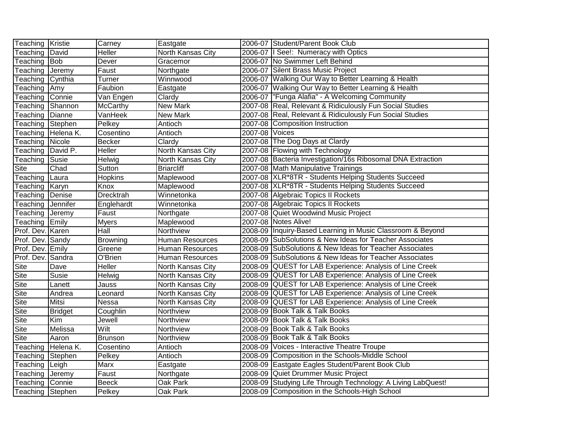| Teaching Kristie  |                    | Carney          | Eastgate               |                | 2006-07 Student/Parent Book Club                            |
|-------------------|--------------------|-----------------|------------------------|----------------|-------------------------------------------------------------|
| Teaching          | David              | <b>Heller</b>   | North Kansas City      |                | 2006-07   See!: Numeracy with Optics                        |
| Teaching          | Bob                | Dever           | Gracemor               |                | 2006-07 No Swimmer Left Behind                              |
| Teaching          | Jeremy             | Faust           | Northgate              |                | 2006-07 Silent Brass Music Project                          |
| Teaching Cynthia  |                    | Turner          | Winnwood               |                | 2006-07 Walking Our Way to Better Learning & Health         |
| Teaching          | Amy                | Faubion         | Eastgate               |                | 2006-07 Walking Our Way to Better Learning & Health         |
| Teaching          | Connie             | Van Engen       | Clardy                 |                | 2006-07  "Funga Alafia" - A Welcoming Community             |
| Teaching          | TShannon           | <b>McCarthy</b> | New Mark               |                | 2007-08 Real, Relevant & Ridiculously Fun Social Studies    |
| Teaching Dianne   |                    | VanHeek         | New Mark               |                | 2007-08 Real, Relevant & Ridiculously Fun Social Studies    |
| Teaching          | Stephen            | Pelkey          | Antioch                |                | 2007-08 Composition Instruction                             |
|                   | Teaching Helena K. | Cosentino       | Antioch                | 2007-08 Voices |                                                             |
| Teaching          | Nicole             | <b>Becker</b>   | Clardy                 |                | 2007-08 The Dog Days at Clardy                              |
| Teaching David P. |                    | Heller          | North Kansas City      |                | 2007-08 Flowing with Technology                             |
| Teaching          | Susie              | Helwig          | North Kansas City      |                | 2007-08 Bacteria Investigation/16s Ribosomal DNA Extraction |
| Site              | Chad               | Sutton          | <b>Briarcliff</b>      |                | 2007-08 Math Manipulative Trainings                         |
| Teaching          | Laura              | Hopkins         | Maplewood              |                | 2007-08 XLR*8TR - Students Helping Students Succeed         |
| Teaching Karyn    |                    | Knox            | Maplewood              |                | 2007-08 XLR*8TR - Students Helping Students Succeed         |
| Teaching          | Denise             | Drecktrah       | Winnetonka             |                | 2007-08 Algebraic Topics II Rockets                         |
| Teaching          | Jennifer           | Englehardt      | Winnetonka             |                | 2007-08 Algebraic Topics II Rockets                         |
| Teaching          | Jeremy             | Faust           | Northgate              |                | 2007-08 Quiet Woodwind Music Project                        |
| Teaching Emily    |                    | <b>Myers</b>    | Maplewood              |                |                                                             |
|                   |                    |                 |                        |                | 2007-08 Notes Alive!                                        |
| Prof. Dev. Karen  |                    | Hall            | Northview              |                | 2008-09 Inquiry-Based Learning in Music Classroom & Beyond  |
| Prof. Dev. Sandy  |                    | <b>Browning</b> | <b>Human Resources</b> |                | 2008-09 SubSolutions & New Ideas for Teacher Associates     |
| Prof. Dev. Emily  |                    | Greene          | <b>Human Resources</b> |                | 2008-09 SubSolutions & New Ideas for Teacher Associates     |
| Prof. Dev. Sandra |                    | O'Brien         | <b>Human Resources</b> |                | 2008-09 SubSolutions & New Ideas for Teacher Associates     |
| Site              | Dave               | <b>Heller</b>   | North Kansas City      |                | 2008-09 QUEST for LAB Experience: Analysis of Line Creek    |
| <b>Site</b>       | Susie              | Helwig          | North Kansas City      |                | 2008-09 QUEST for LAB Experience: Analysis of Line Creek    |
| Site              | Lanett             | Jauss           | North Kansas City      |                | 2008-09 QUEST for LAB Experience: Analysis of Line Creek    |
| Site              | Andrea             | Leonard         | North Kansas City      |                | 2008-09 QUEST for LAB Experience: Analysis of Line Creek    |
| <b>Site</b>       | Mitsi              | Nessa           | North Kansas City      | 2008-09        | QUEST for LAB Experience: Analysis of Line Creek            |
| <b>Site</b>       | <b>Bridget</b>     | Coughlin        | Northview              |                | 2008-09 Book Talk & Talk Books                              |
| <b>Site</b>       | Kim                | Jewell          | Northview              |                | 2008-09 Book Talk & Talk Books                              |
| <b>Site</b>       | Melissa            | Wilt            | Northview              |                | 2008-09 Book Talk & Talk Books                              |
| <b>Site</b>       | Aaron              | <b>Brunson</b>  | Northview              |                | 2008-09 Book Talk & Talk Books                              |
| Teaching          | Helena K.          | Cosentino       | Antioch                |                | 2008-09 Voices - Interactive Theatre Troupe                 |
| Teaching Stephen  |                    | Pelkey          | Antioch                | 2008-09        | Composition in the Schools-Middle School                    |
| Teaching          | Leigh              | <b>Marx</b>     | Eastgate               | 2008-09        | Eastgate Eagles Student/Parent Book Club                    |
| Teaching          | Jeremy             | Faust           | Northgate              | 2008-09        | Quiet Drummer Music Project                                 |
| Teaching Connie   |                    | <b>Beeck</b>    | Oak Park               | 2008-09        | Studying Life Through Technology: A Living LabQuest!        |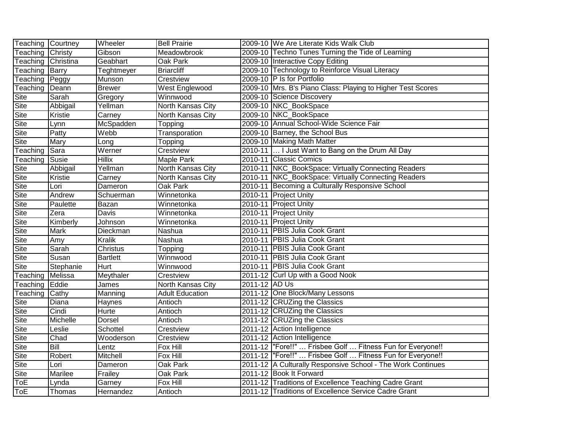| <b>Teaching Courtney</b> |                | Wheeler         | <b>Bell Prairie</b>      |               | 2009-10 We Are Literate Kids Walk Club                      |
|--------------------------|----------------|-----------------|--------------------------|---------------|-------------------------------------------------------------|
| Teaching                 | Christy        | Gibson          | Meadowbrook              |               | 2009-10 Techno Tunes Turning the Tide of Learning           |
| Teaching                 | Christina      | Geabhart        | Oak Park                 |               | 2009-10 Interactive Copy Editing                            |
| Teaching                 | Barry          | Teghtmeyer      | <b>Briarcliff</b>        |               | 2009-10 Technology to Reinforce Visual Literacy             |
| Teaching                 | <b>T</b> eggy  | Munson          | Crestview                |               | 2009-10 P Is for Portfolio                                  |
| Teaching                 | Deann          | <b>Brewer</b>   | <b>West Englewood</b>    |               | 2009-10 Mrs. B's Piano Class: Playing to Higher Test Scores |
| <b>Site</b>              | Sarah          | Gregory         | Winnwood                 |               | 2009-10 Science Discovery                                   |
| <b>Site</b>              | Abbigail       | Yellman         | North Kansas City        |               | 2009-10 NKC_BookSpace                                       |
| <b>Site</b>              | <b>Kristie</b> | Carney          | North Kansas City        |               | 2009-10 NKC_BookSpace                                       |
| <b>Site</b>              | Lynn           | McSpadden       | Topping                  |               | 2009-10 Annual School-Wide Science Fair                     |
| Site                     | Patty          | Webb            | Transporation            |               | 2009-10 Barney, the School Bus                              |
| <b>Site</b>              | Mary           | Long            | Topping                  |               | 2009-10 Making Math Matter                                  |
| Teaching                 | Sara           | Werner          | Crestview                |               | 2010-11  I Just Want to Bang on the Drum All Day            |
| Teaching                 | Susie          | <b>Hillix</b>   | Maple Park               |               | 2010-11 Classic Comics                                      |
| Site                     | Abbigail       | Yellman         | North Kansas City        |               | 2010-11 NKC_BookSpace: Virtually Connecting Readers         |
| Site                     | Kristie        | Carney          | North Kansas City        |               | 2010-11 NKC_BookSpace: Virtually Connecting Readers         |
| Site                     | Lori           | Dameron         | Oak Park                 |               | 2010-11 Becoming a Culturally Responsive School             |
| Site                     | Andrew         | Schuerman       | Winnetonka               |               | 2010-11 Project Unity                                       |
| Site                     | Paulette       | Bazan           | Winnetonka               |               | 2010-11 Project Unity                                       |
| Site                     | Zera           | Davis           | Winnetonka               |               | 2010-11 Project Unity                                       |
| Site                     | Kimberly       | Johnson         | Winnetonka               |               | 2010-11 Project Unity                                       |
| <b>Site</b>              | Mark           | Dieckman        | Nashua                   |               | 2010-11 PBIS Julia Cook Grant                               |
| Site                     | Amy            | <b>Kralik</b>   | Nashua                   |               | 2010-11 PBIS Julia Cook Grant                               |
| Site                     | Sarah          | Christus        | Topping                  |               | 2010-11 PBIS Julia Cook Grant                               |
| <b>Site</b>              | Susan          | <b>Bartlett</b> | Winnwood                 |               | 2010-11 PBIS Julia Cook Grant                               |
| <b>Site</b>              | Stephanie      | Hurt            | Winnwood                 |               | 2010-11 PBIS Julia Cook Grant                               |
| Teaching                 | Melissa        | Meythaler       | Crestview                |               | 2011-12 Curl Up with a Good Nook                            |
| Teaching                 | Eddie          | James           | <b>North Kansas City</b> | 2011-12 AD Us |                                                             |
| Teaching                 | Cathy          | Manning         | <b>Adult Education</b>   |               | 2011-12 One Block/Many Lessons                              |
| Site                     | Diana          | Haynes          | Antioch                  |               | 2011-12 CRUZing the Classics                                |
| <b>Site</b>              | Cindi          | Hurte           | Antioch                  |               | 2011-12 CRUZing the Classics                                |
| <b>Site</b>              | Michelle       | Dorsel          | Antioch                  |               | 2011-12 CRUZing the Classics                                |
| <b>Site</b>              | Leslie         | Schottel        | Crestview                |               | 2011-12 Action Intelligence                                 |
| Site                     | Chad           | Wooderson       | Crestview                |               | 2011-12 Action Intelligence                                 |
| Site                     | Bill           | Lentz           | Fox Hill                 |               | 2011-12  "Fore!!"  Frisbee Golf  Fitness Fun for Everyone!! |
| Site                     | Robert         | Mitchell        | Fox Hill                 |               | 2011-12  "Fore!!"  Frisbee Golf  Fitness Fun for Everyone!! |
| Site                     | Lori           | Dameron         | Oak Park                 |               | 2011-12 A Culturally Responsive School - The Work Continues |
| Site                     | Marilee        | Frailey         | Oak Park                 |               | 2011-12 Book It Forward                                     |
| ToE                      | Lynda          | Garney          | Fox Hill                 |               | 2011-12 Traditions of Excellence Teaching Cadre Grant       |
| ToE                      | Thomas         | Hernandez       | Antioch                  |               | 2011-12 Traditions of Excellence Service Cadre Grant        |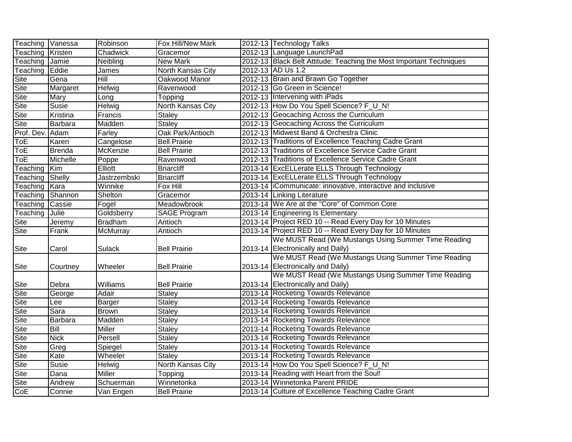| Teaching Vanessa        |               | Robinson       | Fox Hill/New Mark        | 2012-13 Technology Talks                                            |
|-------------------------|---------------|----------------|--------------------------|---------------------------------------------------------------------|
| Teaching Kristen        |               | Chadwick       | Gracemor                 | 2012-13 Language LaunchPad                                          |
| Teaching                | Jamie         | Neibling       | <b>New Mark</b>          | 2012-13 Black Belt Attitude: Teaching the Most Important Techniques |
| Teaching                | Eddie         | James          | North Kansas City        | 2012-13 AD Us 1.2                                                   |
| Site                    | Gena          | Hill           | Oakwood Manor            | 2012-13 Brain and Brawn Go Together                                 |
| <b>Site</b>             | Margaret      | Helwig         | Ravenwood                | 2012-13 Go Green in Science!                                        |
| <b>Site</b>             | Mary          | Long           | Topping                  | 2012-13 Intervening with iPads                                      |
| <b>Site</b>             | <b>Susie</b>  | Helwig         | <b>North Kansas City</b> | 2012-13 How Do You Spell Science? F_U_N!                            |
| <b>Site</b>             | Kristina      | Francis        | <b>Staley</b>            | 2012-13 Geocaching Across the Curriculum                            |
| Site                    | Barbara       | Madden         | <b>Staley</b>            | 2012-13 Geocaching Across the Curriculum                            |
| Prof. Dev.              | Adam          | Farley         | Oak Park/Antioch         | 2012-13 Midwest Band & Orchestra Clinic                             |
| ToE                     | Karen         | Cangelose      | <b>Bell Prairie</b>      | 2012-13 Traditions of Excellence Teaching Cadre Grant               |
| ToE                     | <b>Brenda</b> | McKenzie       | <b>Bell Prairie</b>      | 2012-13 Traditions of Excellence Service Cadre Grant                |
| $\overline{\text{ToE}}$ | Michelle      | Poppe          | Ravenwood                | 2012-13 Traditions of Excellence Service Cadre Grant                |
| Teaching                | Kim           | Elliott        | <b>Briarcliff</b>        | 2013-14 ExcELLerate ELLS Through Technology                         |
| Teaching                | Shelly        | Jastrzembski   | <b>Briarcliff</b>        | 2013-14 ExcELLerate ELLS Through Technology                         |
| Teaching Kara           |               | Winnike        | Fox Hill                 | 2013-14 Communicate: innovative, interactive and inclusive          |
| Teaching                | Shannon       | Shelton        | Gracemor                 | 2013-14 Linking Literature                                          |
| Teaching                | Cassie        | Fogel          | Meadowbrook              | 2013-14 We Are at the "Core" of Common Core                         |
| Teaching                | Julie         | Goldsberry     | <b>SAGE Program</b>      | 2013-14 Engineering Is Elementary                                   |
| <b>Site</b>             | Jeremy        | <b>Bradham</b> | Antioch                  | 2013-14 Project RED 10 -- Read Every Day for 10 Minutes             |
| <b>Site</b>             | Frank         | McMurray       | Antioch                  | 2013-14 Project RED 10 -- Read Every Day for 10 Minutes             |
|                         |               |                |                          | We MUST Read (We Mustangs Using Summer Time Reading                 |
| <b>Site</b>             | Carol         | Sulack         | <b>Bell Prairie</b>      | 2013-14 Electronically and Daily)                                   |
|                         |               |                |                          | We MUST Read (We Mustangs Using Summer Time Reading                 |
| <b>Site</b>             | Courtney      | Wheeler        | <b>Bell Prairie</b>      | 2013-14 Electronically and Daily)                                   |
|                         |               |                |                          | We MUST Read (We Mustangs Using Summer Time Reading                 |
| <b>Site</b>             | Debra         | Williams       | <b>Bell Prairie</b>      | 2013-14 Electronically and Daily)                                   |
| Site                    | George        | Adair          | <b>Staley</b>            | 2013-14 Rocketing Towards Relevance                                 |
| <b>Site</b>             | Lee           | Barger         | Staley                   | 2013-14 Rocketing Towards Relevance                                 |
| <b>Site</b>             | Sara          | <b>Brown</b>   | <b>Staley</b>            | 2013-14 Rocketing Towards Relevance                                 |
| <b>Site</b>             | Barbara       | Madden         | Staley                   | 2013-14 Rocketing Towards Relevance                                 |
| <b>Site</b>             | Bill          | <b>Miller</b>  | <b>Staley</b>            | 2013-14 Rocketing Towards Relevance                                 |
| Site                    | <b>Nick</b>   | Persell        | <b>Staley</b>            | 2013-14 Rocketing Towards Relevance                                 |
| Site                    | Greg          | Spiegel        | Staley                   | 2013-14 Rocketing Towards Relevance                                 |
| <b>Site</b>             | Kate          | Wheeler        | <b>Staley</b>            | 2013-14 Rocketing Towards Relevance                                 |
| Site                    | Susie         | Helwig         | North Kansas City        | 2013-14 How Do You Spell Science? F_U_N!                            |
| Site                    | Dana          | Miller         | Topping                  | 2013-14 Reading with Heart from the Soul!                           |
| <b>Site</b>             | Andrew        | Schuerman      | Winnetonka               | 2013-14 Winnetonka Parent PRIDE                                     |
| CoE                     | Connie        | Van Engen      | <b>Bell Prairie</b>      | 2013-14 Culture of Excellence Teaching Cadre Grant                  |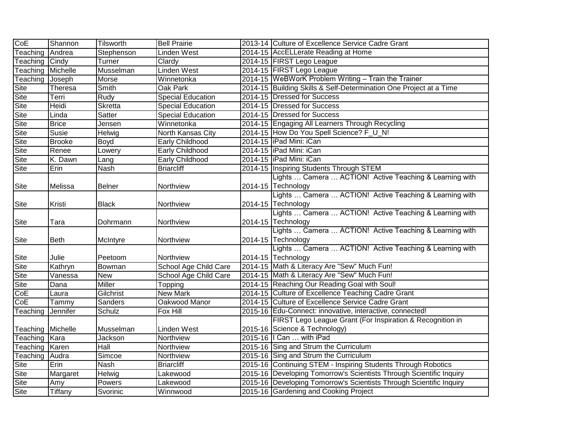| CoE                             | Shannon        | <b>Tilsworth</b> | <b>Bell Prairie</b>      | 2013-14 Culture of Excellence Service Cadre Grant                   |
|---------------------------------|----------------|------------------|--------------------------|---------------------------------------------------------------------|
| Teaching                        | Andrea         | Stephenson       | Linden West              | 2014-15 AccELLerate Reading at Home                                 |
| $\overline{\mathsf{T}}$ eaching | <b>Cindy</b>   | Turner           | Clardy                   | 2014-15 FIRST Lego League                                           |
| Teaching                        | Michelle       | Musselman        | <b>Linden West</b>       | 2014-15 FIRST Lego League                                           |
| Teaching                        | Joseph         | Morse            | Winnetonka               | 2014-15 WeBWorK Problem Writing - Train the Trainer                 |
| Site                            | Theresa        | Smith            | Oak Park                 | 2014-15 Building Skills & Self-Determination One Project at a Time  |
| <b>Site</b>                     | Terri          | <b>Rudy</b>      | <b>Special Education</b> | 2014-15 Dressed for Success                                         |
| <b>Site</b>                     | <b>Heidi</b>   | Skretta          | <b>Special Education</b> | 2014-15 Dressed for Success                                         |
| Site                            | Linda          | Satter           | <b>Special Education</b> | 2014-15 Dressed for Success                                         |
| Site                            | <b>Brice</b>   | Jensen           | Winnetonka               | 2014-15 Engaging All Learners Through Recycling                     |
| Site                            | Susie          | Helwig           | North Kansas City        | 2014-15 How Do You Spell Science? F_U_N!                            |
| Site                            | <b>Brooke</b>  | Boyd             | Early Childhood          | 2014-15   iPad Mini: iCan                                           |
| Site                            | Renee          | Lowery           | Early Childhood          | 2014-15   iPad Mini: iCan                                           |
| Site                            | K. Dawn        | Lang             | Early Childhood          | 2014-15   iPad Mini: iCan                                           |
| Site                            | Erin           | Nash             | <b>Briarcliff</b>        | 2014-15 Inspiring Students Through STEM                             |
|                                 |                |                  |                          | Lights  Camera  ACTION! Active Teaching & Learning with             |
| Site                            | Melissa        | <b>Belner</b>    | Northview                | 2014-15 Technology                                                  |
|                                 |                |                  |                          | Lights  Camera  ACTION! Active Teaching & Learning with             |
| Site                            | Kristi         | <b>Black</b>     | Northview                | 2014-15 Technology                                                  |
|                                 |                |                  |                          | Lights  Camera  ACTION! Active Teaching & Learning with             |
| Site                            | Tara           | Dohrmann         | Northview                | 2014-15 Technology                                                  |
|                                 |                |                  |                          | Lights  Camera  ACTION! Active Teaching & Learning with             |
| Site                            | <b>Beth</b>    | McIntyre         | Northview                | 2014-15 Technology                                                  |
|                                 |                |                  |                          | Lights  Camera  ACTION! Active Teaching & Learning with             |
| Site                            | Julie          | Peetoom          | Northview                | 2014-15 Technology                                                  |
| <b>Site</b>                     | Kathryn        | Bowman           | School Age Child Care    | 2014-15 Math & Literacy Are "Sew" Much Fun!                         |
| Site                            | Vanessa        | <b>New</b>       | School Age Child Care    | 2014-15 Math & Literacy Are "Sew" Much Fun!                         |
| Site                            | Dana           | Miller           | Topping                  | 2014-15 Reaching Our Reading Goal with Soul!                        |
| CoE                             | Laura          | Gilchrist        | <b>New Mark</b>          | 2014-15 Culture of Excellence Teaching Cadre Grant                  |
| CoE                             | Tammy          | Sanders          | Oakwood Manor            | 2014-15 Culture of Excellence Service Cadre Grant                   |
| Teaching                        | Jennifer       | Schulz           | Fox Hill                 | 2015-16 Edu-Connect: innovative, interactive, connected!            |
|                                 |                |                  |                          | FIRST Lego League Grant (For Inspiration & Recognition in           |
| Teaching   Michelle             |                | Musselman        | Linden West              | 2015-16 Science & Technology)                                       |
| Teaching                        | Kara           | Jackson          | Northview                | 2015-16   Can  with iPad                                            |
| Teaching Karen                  |                | Hall             | Northview                | 2015-16 Sing and Strum the Curriculum                               |
| Teaching                        | Audra          | Simcoe           | Northview                | 2015-16 Sing and Strum the Curriculum                               |
| <b>Site</b>                     | Erin           | <b>Nash</b>      | <b>Briarcliff</b>        | 2015-16 Continuing STEM - Inspiring Students Through Robotics       |
| <b>Site</b>                     | Margaret       | <b>Helwig</b>    | Lakewood                 | 2015-16 Developing Tomorrow's Scientists Through Scientific Inquiry |
| Site                            | Amy            | Powers           | Lakewood                 | 2015-16 Developing Tomorrow's Scientists Through Scientific Inquiry |
| <b>Site</b>                     | <b>Tiffany</b> | Svorinic         | Winnwood                 | 2015-16 Gardening and Cooking Project                               |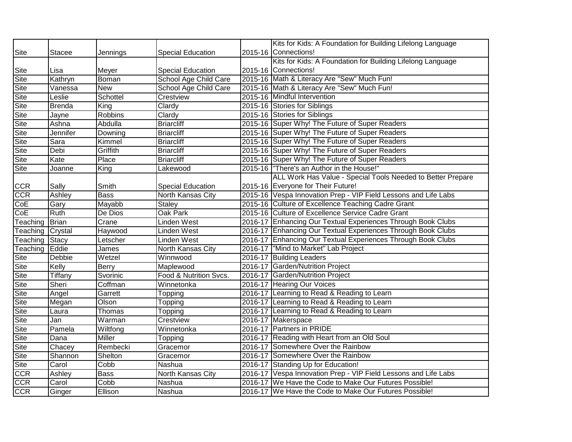|                                        |               |                          |                          | Kits for Kids: A Foundation for Building Lifelong Language      |
|----------------------------------------|---------------|--------------------------|--------------------------|-----------------------------------------------------------------|
| Site                                   | <b>Stacee</b> | Jennings                 | <b>Special Education</b> | 2015-16 Connections!                                            |
|                                        |               |                          |                          | Kits for Kids: A Foundation for Building Lifelong Language      |
| Site                                   | Lisa          | Meyer                    | <b>Special Education</b> | 2015-16 Connections!                                            |
| Site                                   | Kathryn       | Boman                    | School Age Child Care    | 2015-16 Math & Literacy Are "Sew" Much Fun!                     |
| Site                                   | Vanessa       | New                      | School Age Child Care    | 2015-16 Math & Literacy Are "Sew" Much Fun!                     |
| <b>Site</b>                            | Leslie        | Schottel                 | Crestview                | 2015-16 Mindful Intervention                                    |
| Site                                   | <b>Brenda</b> | King                     | Clardy                   | 2015-16 Stories for Siblings                                    |
| $\overline{\mathsf{S}^{\mathsf{ite}}}$ | Jayne         | <b>Robbins</b>           | Clardy                   | 2015-16 Stories for Siblings                                    |
| Site                                   | Ashna         | Abdulla                  | <b>Briarcliff</b>        | 2015-16 Super Why! The Future of Super Readers                  |
| Site                                   | Jennifer      | Downing                  | <b>Briarcliff</b>        | 2015-16 Super Why! The Future of Super Readers                  |
| Site                                   | Sara          | Kimmel                   | <b>Briarcliff</b>        | 2015-16 Super Why! The Future of Super Readers                  |
| Site                                   | Debi          | Griffith                 | <b>Briarcliff</b>        | 2015-16 Super Why! The Future of Super Readers                  |
| <b>Site</b>                            | Kate          | Place                    | <b>Briarcliff</b>        | 2015-16 Super Why! The Future of Super Readers                  |
| Site                                   | Joanne        | King                     | Lakewood                 | 2015-16  "There's an Author in the House!"                      |
|                                        |               |                          |                          | ALL Work Has Value - Special Tools Needed to Better Prepare     |
|                                        | Sally         | Smith                    | <b>Special Education</b> | 2015-16 Everyone for Their Future!                              |
| CCR<br>CCR                             | Ashley        | <b>Bass</b>              | North Kansas City        | 2015-16 Vespa Innovation Prep - VIP Field Lessons and Life Labs |
| $\overline{\text{CoE}}$                | Gary          | Mayabb                   | <b>Staley</b>            | 2015-16 Culture of Excellence Teaching Cadre Grant              |
| CoE                                    | <b>Ruth</b>   | De Dios                  | <b>Oak Park</b>          | 2015-16 Culture of Excellence Service Cadre Grant               |
| Teaching                               | Brian         | Crane                    | Linden West              | 2016-17 Enhancing Our Textual Experiences Through Book Clubs    |
| Teaching                               | Crystal       | Haywood                  | Linden West              | 2016-17 Enhancing Our Textual Experiences Through Book Clubs    |
| Teaching                               | Stacy         | Letscher                 | Linden West              | 2016-17 Enhancing Our Textual Experiences Through Book Clubs    |
| Teaching Eddie                         |               | James                    | North Kansas City        | 2016-17  "Mind to Market" Lab Project                           |
| Site                                   | <b>Debbie</b> | Wetzel                   | Winnwood                 | 2016-17 Building Leaders                                        |
| Site                                   | Kelly         | Berry                    | Maplewood                | 2016-17 Garden/Nutrition Project                                |
| Site                                   | Tiffany       | Svorinic                 | Food & Nutrition Svcs.   | 2016-17 Garden/Nutrition Project                                |
| Site                                   | Sheri         | Coffman                  | Winnetonka               | 2016-17 Hearing Our Voices                                      |
| Site                                   | Angel         | Garrett                  | Topping                  | 2016-17 Learning to Read & Reading to Learn                     |
| <b>Site</b>                            | Megan         | Olson                    | Topping                  | 2016-17 Learning to Read & Reading to Learn                     |
| <b>Site</b>                            | Laura         | Thomas                   | Topping                  | 2016-17 Learning to Read & Reading to Learn                     |
| Site                                   | Jan           | Warman                   | Crestview                | 2016-17 Makerspace                                              |
| $\overline{\mathsf{S}^{\mathsf{ite}}}$ | Pamela        | Wiltfong                 | Winnetonka               | 2016-17 Partners in PRIDE                                       |
| Site                                   | Dana          | <b>Miller</b>            | Topping                  | 2016-17 Reading with Heart from an Old Soul                     |
| Site                                   | Chacey        | Rembecki                 | Gracemor                 | 2016-17 Somewhere Over the Rainbow                              |
| Site                                   | Shannon       | Shelton                  | Gracemor                 | 2016-17 Somewhere Over the Rainbow                              |
| Site                                   | Carol         | Cobb                     | Nashua                   | 2016-17 Standing Up for Education!                              |
| <b>CCR</b>                             | Ashley        | <b>Bass</b>              | North Kansas City        | 2016-17 Vespa Innovation Prep - VIP Field Lessons and Life Labs |
| <b>CCR</b>                             | Carol         | $\overline{\text{Cobb}}$ | Nashua                   | 2016-17 We Have the Code to Make Our Futures Possible!          |
| <b>CCR</b>                             | Ginger        | Ellison                  | Nashua                   | 2016-17 We Have the Code to Make Our Futures Possible!          |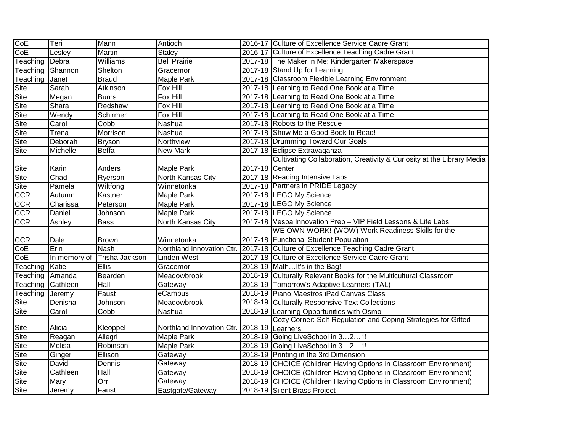| CoE                        | Teri         | Mann             | Antioch                                    |                | 2016-17 Culture of Excellence Service Cadre Grant                      |
|----------------------------|--------------|------------------|--------------------------------------------|----------------|------------------------------------------------------------------------|
| CoE                        | Lesley       | Martin           | <b>Staley</b>                              |                | 2016-17 Culture of Excellence Teaching Cadre Grant                     |
| Teaching                   | Debra        | <b>Williams</b>  | <b>Bell Prairie</b>                        |                | 2017-18 The Maker in Me: Kindergarten Makerspace                       |
| Teaching                   | Shannon      | Shelton          | Gracemor                                   |                | 2017-18 Stand Up for Learning                                          |
| Teaching                   | Janet        | <b>Braud</b>     | Maple Park                                 |                | 2017-18 Classroom Flexible Learning Environment                        |
| $\overline{\mathsf{Site}}$ | Sarah        | Atkinson         | Fox Hill                                   |                | 2017-18 Learning to Read One Book at a Time                            |
| Site                       | Megan        | <b>Burns</b>     | Fox Hill                                   |                | 2017-18 Learning to Read One Book at a Time                            |
| <b>Site</b>                | Shara        | Redshaw          | Fox Hill                                   |                | 2017-18 Learning to Read One Book at a Time                            |
| Site                       | Wendy        | Schirmer         | Fox Hill                                   |                | 2017-18 Learning to Read One Book at a Time                            |
| Site                       | Carol        | Cobb             | Nashua                                     |                | 2017-18 Robots to the Rescue                                           |
| Site                       | Trena        | Morrison         | Nashua                                     |                | 2017-18 Show Me a Good Book to Read!                                   |
| Site                       | Deborah      | <b>Bryson</b>    | Northview                                  |                | 2017-18 Drumming Toward Our Goals                                      |
| $\overline{\mathsf{Site}}$ | Michelle     | <b>Beffa</b>     | New Mark                                   |                | 2017-18 Eclipse Extravaganza                                           |
|                            |              |                  |                                            |                | Cultivating Collaboration, Creativity & Curiosity at the Library Media |
| <b>Site</b>                | Karin        | Anders           | Maple Park                                 | 2017-18 Center |                                                                        |
| <b>Site</b>                | Chad         | Ryerson          | North Kansas City                          |                | 2017-18 Reading Intensive Labs                                         |
| Site                       | Pamela       | Wiltfong         | Winnetonka                                 |                | 2017-18 Partners in PRIDE Legacy                                       |
| <b>CCR</b>                 | Autumn       | Kastner          | Maple Park                                 |                | 2017-18 LEGO My Science                                                |
| <b>CCR</b>                 | Charissa     | Peterson         | Maple Park                                 |                | 2017-18 LEGO My Science                                                |
| $\overline{CCR}$           | Daniel       | Johnson          | Maple Park                                 |                | 2017-18 LEGO My Science                                                |
| $\overline{CCR}$           | Ashley       | <b>Bass</b>      | North Kansas City                          |                | 2017-18 Vespa Innovation Prep - VIP Field Lessons & Life Labs          |
|                            |              |                  |                                            |                | WE OWN WORK! (WOW) Work Readiness Skills for the                       |
| <b>CCR</b>                 | Dale         | <b>Brown</b>     | Winnetonka                                 |                | 2017-18 Functional Student Population                                  |
| CoE                        | Erin         | <b>Nash</b>      | Northland Innovation Ctr.                  |                | 2017-18 Culture of Excellence Teaching Cadre Grant                     |
| CoE                        | In memory of | Trisha Jackson   | Linden West                                |                | 2017-18 Culture of Excellence Service Cadre Grant                      |
| Teaching                   | Katie        | <b>Ellis</b>     | Gracemor                                   |                | 2018-19 MathIt's in the Bag!                                           |
| Teaching Amanda            |              | Bearden          | Meadowbrook                                |                | 2018-19 Culturally Relevant Books for the Multicultural Classroom      |
| Teaching                   | Cathleen     | Hall             | Gateway                                    |                | 2018-19 Tomorrow's Adaptive Learners (TAL)                             |
| Teaching                   | Jeremy       | Faust            | eCampus                                    |                | 2018-19 Piano Maestros iPad Canvas Class                               |
| Site                       | Denisha      | Johnson          | Meadowbrook                                |                | 2018-19 Culturally Responsive Text Collections                         |
| <b>Site</b>                | Carol        | Cobb             | Nashua                                     |                | 2018-19 Learning Opportunities with Osmo                               |
|                            |              |                  |                                            |                | Cozy Corner: Self-Regulation and Coping Strategies for Gifted          |
| Site                       | Alicia       | Kleoppel         | Northland Innovation Ctr. 2018-19 Learners |                |                                                                        |
| Site                       | Reagan       | Allegri          | Maple Park                                 |                | 2018-19 Going LiveSchool in 321!                                       |
| <b>Site</b>                | Melisa       | Robinson         | Maple Park                                 |                | 2018-19 Going LiveSchool in 321!                                       |
| Site                       | Ginger       | Ellison          | Gateway                                    |                | 2018-19 Printing in the 3rd Dimension                                  |
| <b>Site</b>                | David        | Dennis           | Gateway                                    |                | 2018-19 CHOICE (Children Having Options in Classroom Environment)      |
| Site                       | Cathleen     | Hall             | Gateway                                    |                | 2018-19 CHOICE (Children Having Options in Classroom Environment)      |
| Site                       | Mary         | $\overline{Orr}$ | Gateway                                    |                | 2018-19 CHOICE (Children Having Options in Classroom Environment)      |
| Site                       | Jeremy       | Faust            | Eastgate/Gateway                           |                | 2018-19 Silent Brass Project                                           |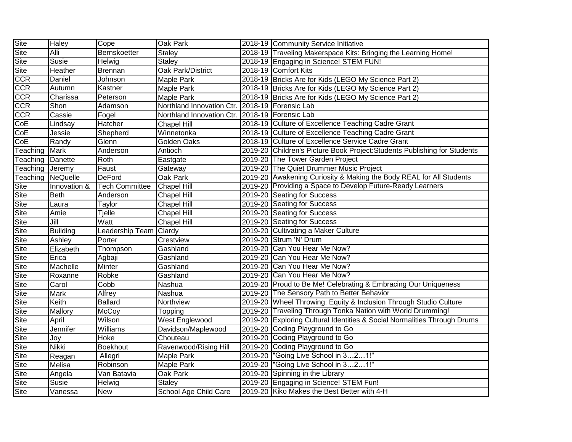| Site        | <b>Haley</b>    | Cope                  | <b>Oak Park</b>           | 2018-19 Community Service Initiative                                      |
|-------------|-----------------|-----------------------|---------------------------|---------------------------------------------------------------------------|
| Site        | Alli            | Bernskoetter          | <b>Staley</b>             | 2018-19 Traveling Makerspace Kits: Bringing the Learning Home!            |
| Site        | Susie           | Helwig                | <b>Staley</b>             | 2018-19 Engaging in Science! STEM FUN!                                    |
| Site        | Heather         | <b>Brennan</b>        | Oak Park/District         | 2018-19 Comfort Kits                                                      |
| <b>CCR</b>  | Daniel          | Johnson               | <b>Maple Park</b>         | 2018-19 Bricks Are for Kids (LEGO My Science Part 2)                      |
| <b>CCR</b>  | Autumn          | Kastner               | <b>Maple Park</b>         | 2018-19 Bricks Are for Kids (LEGO My Science Part 2)                      |
| <b>CCR</b>  | Charissa        | Peterson              | <b>Maple Park</b>         | 2018-19 Bricks Are for Kids (LEGO My Science Part 2)                      |
| <b>CCR</b>  | Shon            | Adamson               | Northland Innovation Ctr. | 2018-19   Forensic Lab                                                    |
| <b>CCR</b>  | Cassie          | Fogel                 | Northland Innovation Ctr. | 2018-19 Forensic Lab                                                      |
| CoE         | Lindsay         | Hatcher               | Chapel Hill               | 2018-19 Culture of Excellence Teaching Cadre Grant                        |
| CoE         | Jessie          | Shepherd              | Winnetonka                | 2018-19 Culture of Excellence Teaching Cadre Grant                        |
| CoE         | Randy           | Glenn                 | Golden Oaks               | 2018-19 Culture of Excellence Service Cadre Grant                         |
| Teaching    | Mark            | Anderson              | Antioch                   | 2019-20 Children's Picture Book Project: Students Publishing for Students |
| Teaching    | Danette         | Roth                  | Eastgate                  | 2019-20 The Tower Garden Project                                          |
| Teaching    | Jeremy          | Faust                 | Gateway                   | 2019-20 The Quiet Drummer Music Project                                   |
| Teaching    | NeQuelle        | DeFord                | Oak Park                  | 2019-20 Awakening Curiosity & Making the Body REAL for All Students       |
| <b>Site</b> | Innovation &    | <b>Tech Committee</b> | <b>Chapel Hill</b>        | 2019-20 Providing a Space to Develop Future-Ready Learners                |
| Site        | <b>Beth</b>     | Anderson              | Chapel Hill               | 2019-20 Seating for Success                                               |
| Site        | Laura           | Taylor                | <b>Chapel Hill</b>        | 2019-20 Seating for Success                                               |
| Site        | Amie            | <b>Tjelle</b>         | <b>Chapel Hill</b>        | 2019-20 Seating for Success                                               |
| Site        | Jill            | Watt                  | Chapel Hill               | 2019-20 Seating for Success                                               |
| Site        | <b>Building</b> | Leadership Team       | Clardy                    | 2019-20 Cultivating a Maker Culture                                       |
| Site        | Ashley          | Porter                | Crestview                 | 2019-20 Strum 'N' Drum                                                    |
| Site        | Elizabeth       | Thompson              | Gashland                  | 2019-20 Can You Hear Me Now?                                              |
| Site        | Erica           | Agbaji                | Gashland                  | 2019-20 Can You Hear Me Now?                                              |
| Site        | Machelle        | <b>Minter</b>         | Gashland                  | 2019-20 Can You Hear Me Now?                                              |
| Site        | Roxanne         | Robke                 | Gashland                  | 2019-20 Can You Hear Me Now?                                              |
| Site        | Carol           | Cobb                  | Nashua                    | 2019-20 Proud to Be Me! Celebrating & Embracing Our Uniqueness            |
| Site        | Mark            | <b>Alfrey</b>         | Nashua                    | 2019-20 The Sensory Path to Better Behavior                               |
| Site        | Keith           | <b>Ballard</b>        | Northview                 | 2019-20 Wheel Throwing: Equity & Inclusion Through Studio Culture         |
| Site        | Mallory         | McCoy                 | Topping                   | 2019-20 Traveling Through Tonka Nation with World Drumming!               |
| <b>Site</b> | April           | Wilson                | West Englewood            | 2019-20 Exploring Cultural Identities & Social Normalities Through Drums  |
| Site        | Jennifer        | Williams              | Davidson/Maplewood        | 2019-20 Coding Playground to Go                                           |
| Site        | Joy             | Hoke                  | Chouteau                  | 2019-20 Coding Playground to Go                                           |
| Site        | <b>Nikki</b>    | <b>Boekhout</b>       | Ravenwood/Rising Hill     | 2019-20 Coding Playground to Go                                           |
| Site        | Reagan          | Allegri               | <b>Maple Park</b>         | 2019-20 Going Live School in 321!"                                        |
| Site        | Melisa          | Robinson              | <b>Maple Park</b>         | 2019-20  "Going Live School in 321!"                                      |
| Site        | Angela          | Van Batavia           | Oak Park                  | 2019-20 Spinning in the Library                                           |
| Site        | Susie           | Helwig                | <b>Staley</b>             | 2019-20 Engaging in Science! STEM Fun!                                    |
| Site        | Vanessa         | <b>New</b>            | School Age Child Care     | 2019-20 Kiko Makes the Best Better with 4-H                               |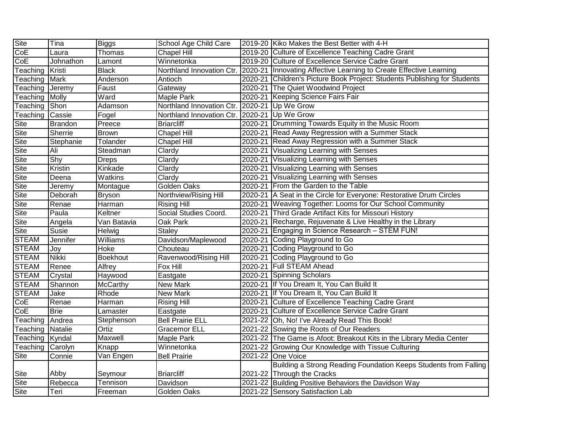| Site                    | Tina         | <b>Biggs</b>    | School Age Child Care     | 2019-20 Kiko Makes the Best Better with 4-H                               |
|-------------------------|--------------|-----------------|---------------------------|---------------------------------------------------------------------------|
| $\overline{\text{CoE}}$ | Laura        | Thomas          | Chapel Hill               | 2019-20 Culture of Excellence Teaching Cadre Grant                        |
| CoE                     | Johnathon    | Lamont          | Winnetonka                | 2019-20 Culture of Excellence Service Cadre Grant                         |
| Teaching                | Kristi       | <b>Black</b>    | Northland Innovation Ctr. | 2020-21 Innovating Affective Learning to Create Effective Learning        |
| Teaching                | Mark         | Anderson        | Antioch                   | 2020-21 Children's Picture Book Project: Students Publishing for Students |
| Teaching                | Jeremy       | Faust           | Gateway                   | 2020-21 The Quiet Woodwind Project                                        |
| Teaching                | Molly        | Ward            | <b>Maple Park</b>         | 2020-21 Keeping Science Fairs Fair                                        |
| Teaching                | Shon         | Adamson         | Northland Innovation Ctr. | 2020-21 Up We Grow                                                        |
| Teaching                | Cassie       | Fogel           | Northland Innovation Ctr. | 2020-21 Up We Grow                                                        |
| Site                    | Brandon      | Preece          | <b>Briarcliff</b>         | 2020-21 Drumming Towards Equity in the Music Room                         |
| <b>Site</b>             | Sherrie      | <b>Brown</b>    | <b>Chapel Hill</b>        | 2020-21 Read Away Regression with a Summer Stack                          |
| Site                    | Stephanie    | Tolander        | <b>Chapel Hill</b>        | 2020-21 Read Away Regression with a Summer Stack                          |
| Site                    | Ali          | Steadman        | Clardy                    | 2020-21 Visualizing Learning with Senses                                  |
| Site                    | Shy          | <b>Dreps</b>    | Clardy                    | 2020-21 Visualizing Learning with Senses                                  |
| Site                    | Kristin      | Kinkade         | Clardy                    | 2020-21 Visualizing Learning with Senses                                  |
| Site                    | Deena        | Watkins         | Clardy                    | 2020-21 Visualizing Learning with Senses                                  |
| Site                    | Jeremy       | Montague        | Golden Oaks               | 2020-21 From the Garden to the Table                                      |
| Site                    | Deborah      | Bryson          | Northview/Rising Hill     | 2020-21 A Seat in the Circle for Everyone: Restorative Drum Circles       |
| <b>Site</b>             | Renae        | Harman          | <b>Rising Hill</b>        | 2020-21 Weaving Together: Looms for Our School Community                  |
| Site                    | Paula        | Keltner         | Social Studies Coord.     | 2020-21 Third Grade Artifact Kits for Missouri History                    |
| <b>Site</b>             | Angela       | Van Batavia     | Oak Park                  | 2020-21 Recharge, Rejuvenate & Live Healthy in the Library                |
| Site                    | Susie        | Helwig          | <b>Staley</b>             | 2020-21 Engaging in Science Research - STEM FUN!                          |
| <b>STEAM</b>            | Jennifer     | Williams        | Davidson/Maplewood        | 2020-21 Coding Playground to Go                                           |
| <b>STEAM</b>            | Joy          | Hoke            | Chouteau                  | 2020-21 Coding Playground to Go                                           |
| <b>STEAM</b>            | <b>Nikki</b> | <b>Boekhout</b> | Ravenwood/Rising Hill     | 2020-21 Coding Playground to Go                                           |
| <b>STEAM</b>            | Renee        | Alfrey          | Fox Hill                  | 2020-21 Full STEAM Ahead                                                  |
| <b>STEAM</b>            | Crystal      | Haywood         | Eastgate                  | 2020-21 Spinning Scholars                                                 |
| <b>STEAM</b>            | Shannon      | McCarthy        | <b>New Mark</b>           | 2020-21 If You Dream It, You Can Build It                                 |
| <b>STEAM</b>            | Jake         | Rhode           | New Mark                  | 2020-21 If You Dream It, You Can Build It                                 |
| CoE                     | Renae        | Harman          | <b>Rising Hill</b>        | 2020-21 Culture of Excellence Teaching Cadre Grant                        |
| CoE                     | <b>Brie</b>  | Lamaster        | Eastgate                  | 2020-21 Culture of Excellence Service Cadre Grant                         |
| Teaching                | Andrea       | Stephenson      | <b>Bell Prairie ELL</b>   | 2021-22 Oh, No! I've Already Read This Book!                              |
| Teaching Natalie        |              | Ortiz           | <b>Gracemor ELL</b>       | 2021-22 Sowing the Roots of Our Readers                                   |
| Teaching Kyndal         |              | <b>Maxwell</b>  | Maple Park                | 2021-22 The Game is Afoot: Breakout Kits in the Library Media Center      |
| Teaching                | Carolyn      | Knapp           | Winnetonka                | 2021-22 Growing Our Knowledge with Tissue Culturing                       |
| Site                    | Connie       | Van Engen       | <b>Bell Prairie</b>       | 2021-22 One Voice                                                         |
|                         |              |                 |                           | Building a Strong Reading Foundation Keeps Students from Falling          |
| <b>Site</b>             | Abby         | Seymour         | <b>Briarcliff</b>         | 2021-22 Through the Cracks                                                |
| Site                    | Rebecca      | Tennison        | Davidson                  | 2021-22 Building Positive Behaviors the Davidson Way                      |
| Site                    | Teri         | Freeman         | Golden Oaks               | 2021-22 Sensory Satisfaction Lab                                          |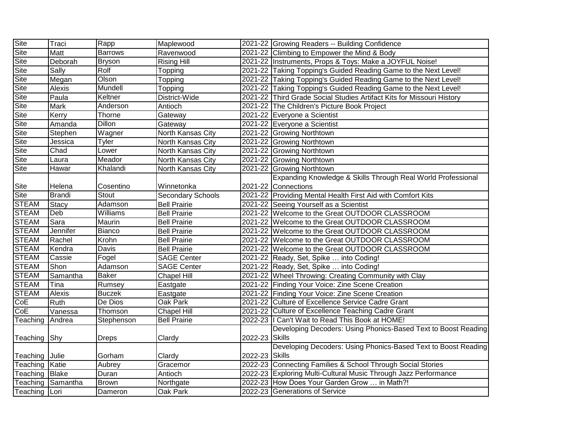| Site           | Traci             | Rapp           | Maplewood           |                | 2021-22 Growing Readers -- Building Confidence                        |
|----------------|-------------------|----------------|---------------------|----------------|-----------------------------------------------------------------------|
| <b>Site</b>    | Matt              | <b>Barrows</b> | Ravenwood           |                | 2021-22 Climbing to Empower the Mind & Body                           |
| <b>Site</b>    | Deborah           | <b>Bryson</b>  | <b>Rising Hill</b>  |                | 2021-22 Instruments, Props & Toys: Make a JOYFUL Noise!               |
| <b>Site</b>    | Sally             | Rolf           | Topping             |                | 2021-22 Taking Topping's Guided Reading Game to the Next Level!       |
| Site           | Megan             | Olson          | Topping             |                | 2021-22 Taking Topping's Guided Reading Game to the Next Level!       |
| Site           | Alexis            | Mundell        | Topping             |                | 2021-22 Taking Topping's Guided Reading Game to the Next Level!       |
| Site           | Paula             | Keltner        | District-Wide       |                | 2021-22 Third Grade Social Studies Artifact Kits for Missouri History |
| Site           | <b>Mark</b>       | Anderson       | Antioch             |                | 2021-22 The Children's Picture Book Project                           |
| Site           | Kerry             | Thorne         | Gateway             |                | 2021-22 Everyone a Scientist                                          |
| Site           | Amanda            | <b>Dillon</b>  | Gateway             |                | 2021-22 Everyone a Scientist                                          |
| Site           | Stephen           | Wagner         | North Kansas City   |                | 2021-22 Growing Northtown                                             |
| Site           | Jessica           | Tyler          | North Kansas City   |                | 2021-22 Growing Northtown                                             |
| Site           | Chad              | Lower          | North Kansas City   |                | 2021-22 Growing Northtown                                             |
| Site           | Laura             | Meador         | North Kansas City   |                | 2021-22 Growing Northtown                                             |
| Site           | Hawar             | Khalandi       | North Kansas City   |                | 2021-22 Growing Northtown                                             |
|                |                   |                |                     |                | Expanding Knowledge & Skills Through Real World Professional          |
| <b>Site</b>    | Helena            | Cosentino      | Winnetonka          |                | 2021-22 Connections                                                   |
| Site           | <b>Brandi</b>     | <b>Stout</b>   | Secondary Schools   |                | 2021-22 Providing Mental Health First Aid with Comfort Kits           |
| <b>STEAM</b>   | <b>Stacy</b>      | Adamson        | <b>Bell Prairie</b> |                | 2021-22 Seeing Yourself as a Scientist                                |
| <b>STEAM</b>   | Deb               | Williams       | <b>Bell Prairie</b> |                | 2021-22 Welcome to the Great OUTDOOR CLASSROOM                        |
| <b>STEAM</b>   | Sara              | Maurin         | <b>Bell Prairie</b> |                | 2021-22 Welcome to the Great OUTDOOR CLASSROOM                        |
| <b>STEAM</b>   | Jennifer          | <b>Bianco</b>  | <b>Bell Prairie</b> |                | 2021-22 Welcome to the Great OUTDOOR CLASSROOM                        |
| <b>STEAM</b>   | Rachel            | Krohn          | <b>Bell Prairie</b> |                | 2021-22 Welcome to the Great OUTDOOR CLASSROOM                        |
| <b>STEAM</b>   | Kendra            | Davis          | <b>Bell Prairie</b> |                | 2021-22 Welcome to the Great OUTDOOR CLASSROOM                        |
| <b>STEAM</b>   | Cassie            | Fogel          | <b>SAGE Center</b>  |                | 2021-22 Ready, Set, Spike  into Coding!                               |
| <b>STEAM</b>   | Shon              | Adamson        | <b>SAGE Center</b>  |                | 2021-22 Ready, Set, Spike  into Coding!                               |
| <b>STEAM</b>   | Samantha          | <b>Baker</b>   | <b>Chapel Hill</b>  |                | 2021-22 Wheel Throwing: Creating Community with Clay                  |
| <b>STEAM</b>   | Tina              | Rumsey         | Eastgate            |                | 2021-22 Finding Your Voice: Zine Scene Creation                       |
| <b>STEAM</b>   | Alexis            | <b>Buczek</b>  | Eastgate            |                | 2021-22 Finding Your Voice: Zine Scene Creation                       |
| CoE            | Ruth              | De Dios        | Oak Park            |                | 2021-22 Culture of Excellence Service Cadre Grant                     |
| CoE            | Vanessa           | Thomson        | Chapel Hill         |                | 2021-22 Culture of Excellence Teaching Cadre Grant                    |
| Teaching       | Andrea            | Stephenson     | <b>Bell Prairie</b> |                | 2022-23   Can't Wait to Read This Book at HOME!                       |
|                |                   |                |                     |                | Developing Decoders: Using Phonics-Based Text to Boost Reading        |
| Teaching       | <b>Shy</b>        | <b>Dreps</b>   | Clardy              | 2022-23 Skills |                                                                       |
|                |                   |                |                     |                | Developing Decoders: Using Phonics-Based Text to Boost Reading        |
| Teaching Julie |                   | Gorham         | Clardy              | 2022-23 Skills |                                                                       |
| Teaching       | Katie             | Aubrey         | Gracemor            |                | 2022-23 Connecting Families & School Through Social Stories           |
| Teaching Blake |                   | Duran          | Antioch             |                | 2022-23 Exploring Multi-Cultural Music Through Jazz Performance       |
|                | Teaching Samantha | <b>Brown</b>   | Northgate           |                | 2022-23 How Does Your Garden Grow  in Math?!                          |
| Teaching Lori  |                   | Dameron        | Oak Park            |                | 2022-23 Generations of Service                                        |